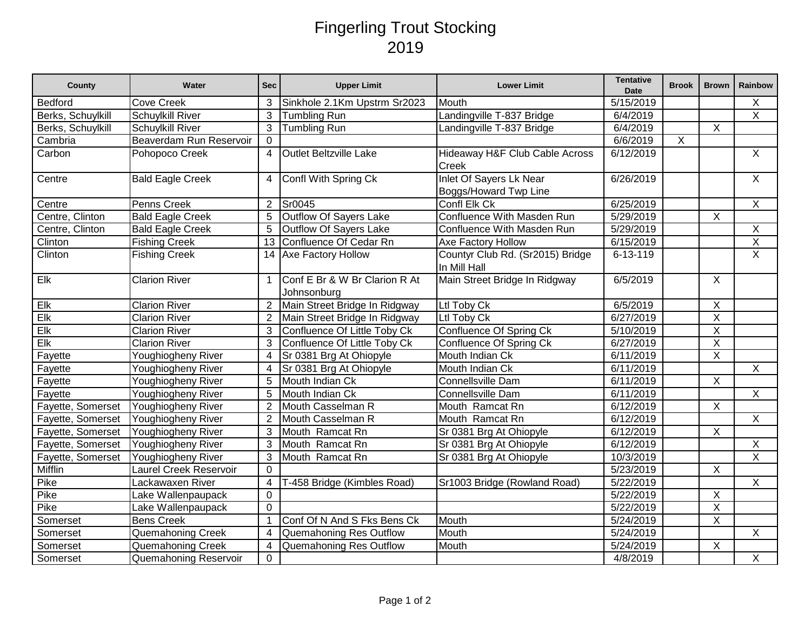## Fingerling Trout Stocking 2019

| County            | Water                   | <b>Sec</b>     | <b>Upper Limit</b>                           | <b>Lower Limit</b>                               | <b>Tentative</b><br><b>Date</b> | <b>Brook</b> | <b>Brown</b>            | Rainbow                 |
|-------------------|-------------------------|----------------|----------------------------------------------|--------------------------------------------------|---------------------------------|--------------|-------------------------|-------------------------|
| <b>Bedford</b>    | <b>Cove Creek</b>       | 3              | Sinkhole 2.1Km Upstrm Sr2023                 | Mouth                                            | $\overline{5/15/2019}$          |              |                         | Χ                       |
| Berks, Schuylkill | <b>Schuylkill River</b> | 3              | <b>Tumbling Run</b>                          | Landingville T-837 Bridge                        | 6/4/2019                        |              |                         | $\overline{X}$          |
| Berks, Schuylkill | <b>Schuylkill River</b> | 3              | <b>Tumbling Run</b>                          | Landingville T-837 Bridge                        | 6/4/2019                        |              | $\sf X$                 |                         |
| Cambria           | Beaverdam Run Reservoir | $\mathbf 0$    |                                              |                                                  | 6/6/2019                        | X            |                         |                         |
| Carbon            | Pohopoco Creek          | 4              | Outlet Beltzville Lake                       | Hideaway H&F Club Cable Across<br>Creek          | 6/12/2019                       |              |                         | $\overline{X}$          |
| Centre            | <b>Bald Eagle Creek</b> | 4              | Confl With Spring Ck                         | Inlet Of Sayers Lk Near<br>Boggs/Howard Twp Line | 6/26/2019                       |              |                         | $\mathsf{X}$            |
| Centre            | Penns Creek             | $\overline{2}$ | Sr0045                                       | Confl Elk Ck                                     | 6/25/2019                       |              |                         | $\mathsf{X}$            |
| Centre, Clinton   | <b>Bald Eagle Creek</b> | 5              | Outflow Of Sayers Lake                       | Confluence With Masden Run                       | 5/29/2019                       |              | $\pmb{\times}$          |                         |
| Centre, Clinton   | <b>Bald Eagle Creek</b> | 5              | Outflow Of Sayers Lake                       | Confluence With Masden Run                       | $\overline{5}/29/2019$          |              |                         | X                       |
| Clinton           | <b>Fishing Creek</b>    | 13             | Confluence Of Cedar Rn                       | Axe Factory Hollow                               | 6/15/2019                       |              |                         | X                       |
| Clinton           | <b>Fishing Creek</b>    | 14             | Axe Factory Hollow                           | Countyr Club Rd. (Sr2015) Bridge<br>In Mill Hall | 6-13-119                        |              |                         | $\overline{X}$          |
| Elk               | <b>Clarion River</b>    | $\overline{1}$ | Conf E Br & W Br Clarion R At<br>Johnsonburg | Main Street Bridge In Ridgway                    | 6/5/2019                        |              | $\sf X$                 |                         |
| Eik               | <b>Clarion River</b>    | $\overline{2}$ | Main Street Bridge In Ridgway                | Ltl Toby Ck                                      | 6/5/2019                        |              | $\overline{X}$          |                         |
| Elk               | <b>Clarion River</b>    | $\overline{2}$ | Main Street Bridge In Ridgway                | Ltl Toby Ck                                      | 6/27/2019                       |              | $\overline{\mathsf{x}}$ |                         |
| Elk               | <b>Clarion River</b>    | 3              | Confluence Of Little Toby Ck                 | <b>Confluence Of Spring Ck</b>                   | 5/10/2019                       |              | $\overline{\mathsf{x}}$ |                         |
| Eik               | <b>Clarion River</b>    | 3              | Confluence Of Little Toby Ck                 | Confluence Of Spring Ck                          | 6/27/2019                       |              | $\overline{X}$          |                         |
| Fayette           | Youghiogheny River      | $\overline{4}$ | Sr 0381 Brg At Ohiopyle                      | Mouth Indian Ck                                  | 6/11/2019                       |              | $\overline{\mathsf{x}}$ |                         |
| Fayette           | Youghiogheny River      | $\overline{4}$ | Sr 0381 Brg At Ohiopyle                      | Mouth Indian Ck                                  | 6/11/2019                       |              |                         | $\overline{X}$          |
| Fayette           | Youghiogheny River      | 5              | Mouth Indian Ck                              | Connellsville Dam                                | 6/11/2019                       |              | X                       |                         |
| Fayette           | Youghiogheny River      | 5              | Mouth Indian Ck                              | <b>Connellsville Dam</b>                         | 6/11/2019                       |              |                         | $\overline{X}$          |
| Fayette, Somerset | Youghiogheny River      | $\overline{2}$ | Mouth Casselman R                            | Mouth Ramcat Rn                                  | 6/12/2019                       |              | $\sf X$                 |                         |
| Fayette, Somerset | Youghiogheny River      | $\overline{2}$ | Mouth Casselman R                            | Mouth Ramcat Rn                                  | 6/12/2019                       |              |                         | $\overline{X}$          |
| Fayette, Somerset | Youghiogheny River      | 3              | Mouth Ramcat Rn                              | Sr 0381 Brg At Ohiopyle                          | 6/12/2019                       |              | $\overline{X}$          |                         |
| Fayette, Somerset | Youghiogheny River      | 3              | Mouth Ramcat Rn                              | Sr 0381 Brg At Ohiopyle                          | 6/12/2019                       |              |                         | X                       |
| Fayette, Somerset | Youghiogheny River      | 3              | Mouth Ramcat Rn                              | Sr 0381 Brg At Ohiopyle                          | 10/3/2019                       |              |                         | $\overline{\mathsf{x}}$ |
| Mifflin           | Laurel Creek Reservoir  | $\overline{0}$ |                                              |                                                  | 5/23/2019                       |              | $\overline{X}$          |                         |
| Pike              | Lackawaxen River        | 4              | T-458 Bridge (Kimbles Road)                  | Sr1003 Bridge (Rowland Road)                     | 5/22/2019                       |              |                         | $\overline{X}$          |
| Pike              | Lake Wallenpaupack      | $\mathbf 0$    |                                              |                                                  | 5/22/2019                       |              | $\pmb{\times}$          |                         |
| Pike              | Lake Wallenpaupack      | $\Omega$       |                                              |                                                  | $\overline{5}/22/2019$          |              | $\overline{\mathsf{x}}$ |                         |
| Somerset          | <b>Bens Creek</b>       | 1              | Conf Of N And S Fks Bens Ck                  | Mouth                                            | 5/24/2019                       |              | X                       |                         |
| Somerset          | Quemahoning Creek       | $\overline{4}$ | Quemahoning Res Outflow                      | Mouth                                            | 5/24/2019                       |              |                         | X                       |
| Somerset          | Quemahoning Creek       | $\overline{4}$ | Quemahoning Res Outflow                      | Mouth                                            | 5/24/2019                       |              | $\mathsf X$             |                         |
| Somerset          | Quemahoning Reservoir   | $\Omega$       |                                              |                                                  | 4/8/2019                        |              |                         | X                       |